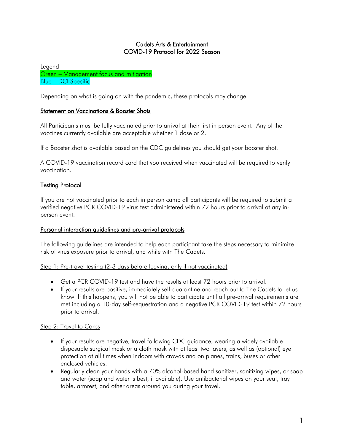## Cadets Arts & Entertainment COVID-19 Protocol for 2022 Season

Legend Green – Management focus and mitigation Blue – DCI Specific

Depending on what is going on with the pandemic, these protocols may change.

## **Statement on Vaccinations & Booster Shots**

All Participants must be fully vaccinated prior to arrival at their first in person event. Any of the vaccines currently available are acceptable whether 1 dose or 2.

If a Booster shot is available based on the CDC guidelines you should get your booster shot.

A COVID-19 vaccination record card that you received when vaccinated will be required to verify vaccination.

## Testing Protocol

If you are not vaccinated prior to each in person camp all participants will be required to submit a verified negative PCR COVID-19 virus test administered within 72 hours prior to arrival at any inperson event.

## Personal interaction guidelines and pre-arrival protocols

The following guidelines are intended to help each participant take the steps necessary to minimize risk of virus exposure prior to arrival, and while with The Cadets.

## Step 1: Pre-travel testing (2-3 days before leaving, only if not vaccinated)

- Get a PCR COVID-19 test and have the results at least 72 hours prior to arrival.
- If your results are positive, immediately self-quarantine and reach out to The Cadets to let us know. If this happens, you will not be able to participate until all pre-arrival requirements are met including a 10-day self-sequestration and a negative PCR COVID-19 test within 72 hours prior to arrival.

## Step 2: Travel to Corps

- If your results are negative, travel following CDC guidance, wearing a widely available disposable surgical mask or a cloth mask with at least two layers, as well as (optional) eye protection at all times when indoors with crowds and on planes, trains, buses or other enclosed vehicles.
- Regularly clean your hands with a 70% alcohol-based hand sanitizer, sanitizing wipes, or soap and water (soap and water is best, if available). Use antibacterial wipes on your seat, tray table, armrest, and other areas around you during your travel.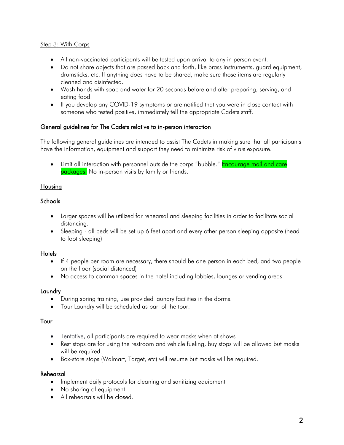## Step 3: With Corps

- All non-vaccinated participants will be tested upon arrival to any in person event.
- Do not share objects that are passed back and forth, like brass instruments, guard equipment, drumsticks, etc. If anything does have to be shared, make sure those items are regularly cleaned and disinfected.
- Wash hands with soap and water for 20 seconds before and after preparing, serving, and eating food.
- If you develop any COVID-19 symptoms or are notified that you were in close contact with someone who tested positive, immediately tell the appropriate Cadets staff.

## General guidelines for The Cadets relative to in-person interaction

The following general guidelines are intended to assist The Cadets in making sure that all participants have the information, equipment and support they need to minimize risk of virus exposure.

• Limit all interaction with personnel outside the corps "bubble." Encourage mail and care packages. No in-person visits by family or friends.

## Housing

## Schools

- Larger spaces will be utilized for rehearsal and sleeping facilities in order to facilitate social distancing.
- Sleeping all beds will be set up 6 feet apart and every other person sleeping opposite (head to foot sleeping)

## **Hotels**

- If 4 people per room are necessary, there should be one person in each bed, and two people on the floor (social distanced)
- No access to common spaces in the hotel including lobbies, lounges or vending areas

## **Laundry**

- During spring training, use provided laundry facilities in the dorms.
- Tour Laundry will be scheduled as part of the tour.

## Tour

- Tentative, all participants are required to wear masks when at shows
- Rest stops are for using the restroom and vehicle fueling, buy stops will be allowed but masks will be required.
- Box-store stops (Walmart, Target, etc) will resume but masks will be required.

## Rehearsal

- Implement daily protocols for cleaning and sanitizing equipment
- No sharing of equipment.
- All rehearsals will be closed.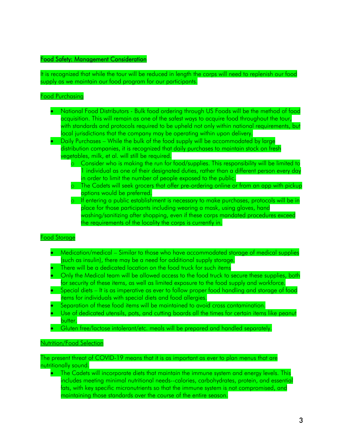### Food Safety: Management Consideration

It is recognized that while the tour will be reduced in length the corps will need to replenish our food supply as we maintain our food program for our participants.

#### Food Purchasing

- National Food Distributors Bulk food ordering through US Foods will be the method of food acquisition. This will remain as one of the safest ways to acquire food throughout the tour, with standards and protocols required to be upheld not only within national requirements, but local jurisdictions that the company may be operating within upon delivery.
- Daily Purchases While the bulk of the food supply will be accommodated by large distribution companies, it is recognized that daily purchases to maintain stock on fresh vegetables, milk, et al. will still be required.
	- o Consider who is making the run for food/supplies. This responsibility will be limited to 1 individual as one of their designated duties, rather than a different person every day in order to limit the number of people exposed to the public.
	- o The Cadets will seek grocers that offer pre-ordering online or from an app with pickup options would be preferred.
	- o If entering a public establishment is necessary to make purchases, protocols will be in place for those participants including wearing a mask, using gloves, hand washing/sanitizing after shopping, even if these corps mandated procedures exceed the requirements of the locality the corps is currently in.

#### Food Storage

- Medication/medical Similar to those who have accommodated storage of medical supplies (such as insulin), there may be a need for additional supply storage.
- There will be a dedicated location on the food truck for such items
- Only the Medical team will be allowed access to the food truck to secure these supplies, both for security of these items, as well as limited exposure to the food supply and workforce.
- Special diets It is as imperative as ever to follow proper food handling and storage of food items for individuals with special diets and food allergies.
- Separation of these food items will be maintained to avoid cross contamination.
- Use of dedicated utensils, pots, and cutting boards all the times for certain items like peanut butter.
- Gluten free/lactose intolerant/etc. meals will be prepared and handled separately.

#### Nutrition/Food Selection

The present threat of COVID-19 means that it is as important as ever to plan menus that are nutritionally sound.

• The Cadets will incorporate diets that maintain the immune system and energy levels. This includes meeting minimal nutritional needs--calories, carbohydrates, protein, and essential fats, with key specific micronutrients so that the immune system is not compromised, and maintaining those standards over the course of the entire season.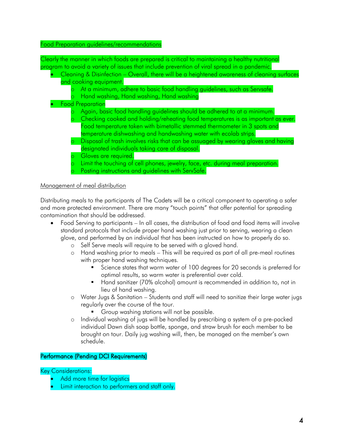### Food Preparation guidelines/recommendations

Clearly the manner in which foods are prepared is critical to maintaining a healthy nutritional program to avoid a variety of issues that include prevention of viral spread in a pandemic.

| Cleaning & Disinfection – Overall, there will be a heightened awareness of cleaning surfaces |
|----------------------------------------------------------------------------------------------|
| and cooking equipment.                                                                       |
| At a minimum, adhere to basic food handling guidelines, such as Servsafe.                    |
| Hand washing, Hand washing, Hand washing                                                     |
| <b>Food Preparation</b>                                                                      |
| Again, basic food handling guidelines should be adhered to at a minimum.                     |
| Checking cooked and holding/reheating food temperatures is as important as ever.             |
| Food temperature taken with bimetallic stemmed thermometer in 3 spots and                    |
| temperature dishwashing and handwashing water with ecolab strips.                            |
| Disposal of trash involves risks that can be assuaged by wearing gloves and having           |
| designated individuals taking care of disposal.                                              |
| Gloves are required.                                                                         |
| Limit the touching of cell phones, jewelry, face, etc. during meal preparation.              |
| Posting instructions and guidelines with ServSafe.                                           |

## Management of meal distribution

Distributing meals to the participants of The Cadets will be a critical component to operating a safer and more protected environment. There are many "touch points" that offer potential for spreading contamination that should be addressed.

- Food Serving to participants In all cases, the distribution of food and food items will involve standard protocols that include proper hand washing just prior to serving, wearing a clean glove, and performed by an individual that has been instructed on how to properly do so.
	- o Self Serve meals will require to be served with a gloved hand.
	- o Hand washing prior to meals This will be required as part of all pre-meal routines with proper hand washing techniques.
		- § Science states that warm water of 100 degrees for 20 seconds is preferred for optimal results, so warm water is preferential over cold.
		- § Hand sanitizer (70% alcohol) amount is recommended in addition to, not in lieu of hand washing.
	- o Water Jugs & Sanitation Students and staff will need to sanitize their large water jugs regularly over the course of the tour.
		- § Group washing stations will not be possible.
	- o Individual washing of jugs will be handled by prescribing a system of a pre-packed individual Dawn dish soap bottle, sponge, and straw brush for each member to be brought on tour. Daily jug washing will, then, be managed on the member's own schedule.

## Performance (Pending DCI Requirements)

Key Considerations:

- Add more time for logistics
- Limit interaction to performers and staff only.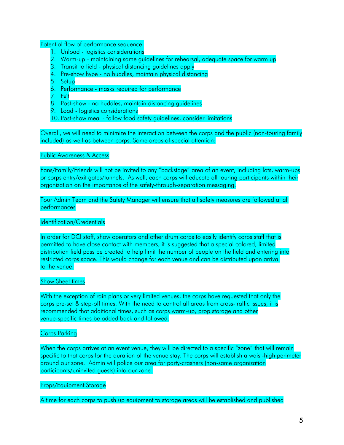Potential flow of performance sequence:

- 1. Unload logistics considerations
- 2. Warm-up maintaining same guidelines for rehearsal, adequate space for warm up
- 3. Transit to field physical distancing guidelines apply
- 4. Pre-show hype no huddles, maintain physical distancing
- 5. Setup
- 6. Performance masks required for performance
- 7. Exit
- 8. Post-show no huddles, maintain distancing guidelines
- 9. Load logistics considerations
- 10. Post-show meal follow food safety guidelines, consider limitations

Overall, we will need to minimize the interaction between the corps and the public (non-touring family included) as well as between corps. Some areas of special attention:

Public Awareness & Access

Fans/Family/Friends will not be invited to any "backstage" area of an event, including lots, warm-ups or corps entry/exit gates/tunnels. As well, each corps will educate all touring participants within their organization on the importance of the safety-through-separation messaging.

Tour Admin Team and the Safety Manager will ensure that all safety measures are followed at all performances

#### Identification/Credentials

In order for DCI staff, show operators and other drum corps to easily identify corps staff that is permitted to have close contact with members, it is suggested that a special colored, limited distribution field pass be created to help limit the number of people on the field and entering into restricted corps space. This would change for each venue and can be distributed upon arrival to the venue.

### Show Sheet times

With the exception of rain plans or very limited venues, the corps have requested that only the corps pre-set & step-off times. With the need to control all areas from cross-traffic issues, it is recommended that additional times, such as corps warm-up, prop storage and other venue-specific times be added back and followed.

#### Corps Parking

When the corps arrives at an event venue, they will be directed to a specific "zone" that will remain specific to that corps for the duration of the venue stay. The corps will establish a waist-high perimeter around our zone. Admin will police our area for party-crashers (non-same organization participants/uninvited guests) into our zone.

#### Props/Equipment Storage

A time for each corps to push up equipment to storage areas will be established and published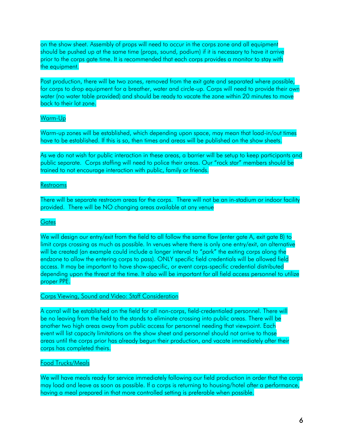on the show sheet. Assembly of props will need to occur in the corps zone and all equipment should be pushed up at the same time (props, sound, podium) if it is necessary to have it arrive prior to the corps gate time. It is recommended that each corps provides a monitor to stay with the equipment.

Post production, there will be two zones, removed from the exit gate and separated where possible, for corps to drop equipment for a breather, water and circle-up. Corps will need to provide their own water (no water table provided) and should be ready to vacate the zone within 20 minutes to move back to their lot zone.

## Warm-Up

Warm-up zones will be established, which depending upon space, may mean that load-in/out times have to be established. If this is so, then times and areas will be published on the show sheets.

As we do not wish for public interaction in these areas, a barrier will be setup to keep participants and public separate. Corps staffing will need to police their areas. Our "rock star" members should be trained to not encourage interaction with public, family or friends.

### Restrooms

There will be separate restroom areas for the corps. There will not be an in-stadium or indoor facility provided. There will be NO changing areas available at any venue

### **Gates**

We will design our entry/exit from the field to all follow the same flow (enter gate A, exit gate B) to limit corps crossing as much as possible. In venues where there is only one entry/exit, an alternative will be created (an example could include a longer interval to "park" the exiting corps along the endzone to allow the entering corps to pass). ONLY specific field credentials will be allowed field access. It may be important to have show-specific, or event corps-specific credential distributed depending upon the threat at the time. It also will be important for all field access personnel to utilize proper PPE.

#### Corps Viewing, Sound and Video: Staff Consideration

A corral will be established on the field for all non-corps, field-credentialed personnel. There will be no leaving from the field to the stands to eliminate crossing into public areas. There will be another two high areas away from public access for personnel needing that viewpoint. Each event will list capacity limitations on the show sheet and personnel should not arrive to those areas until the corps prior has already begun their production, and vacate immediately after their corps has completed theirs.

#### Food Trucks/Meals

We will have meals ready for service immediately following our field production in order that the corps may load and leave as soon as possible. If a corps is returning to housing/hotel after a performance, having a meal prepared in that more controlled setting is preferable when possible.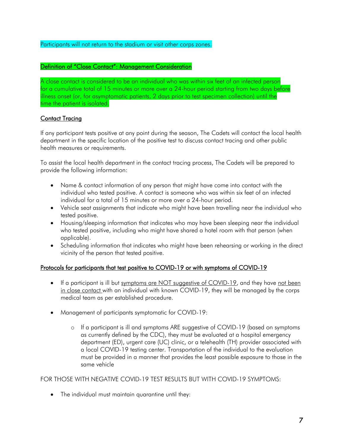## Participants will not return to the stadium or visit other corps zones.

## Definition of "Close Contact": Management Consideration

A close contact is considered to be an individual who was within six feet of an infected person for a cumulative total of 15 minutes or more over a 24-hour period starting from two days before illness onset (or, for asymptomatic patients, 2 days prior to test specimen collection) until the time the patient is isolated.

## Contact Tracing

If any participant tests positive at any point during the season, The Cadets will contact the local health department in the specific location of the positive test to discuss contact tracing and other public health measures or requirements.

To assist the local health department in the contact tracing process, The Cadets will be prepared to provide the following information:

- Name & contact information of any person that might have come into contact with the individual who tested positive. A contact is someone who was within six feet of an infected individual for a total of 15 minutes or more over a 24-hour period.
- Vehicle seat assignments that indicate who might have been travelling near the individual who tested positive.
- Housing/sleeping information that indicates who may have been sleeping near the individual who tested positive, including who might have shared a hotel room with that person (when applicable).
- Scheduling information that indicates who might have been rehearsing or working in the direct vicinity of the person that tested positive.

## Protocols for participants that test positive to COVID-19 or with symptoms of COVID-19

- If a participant is ill but symptoms are NOT suggestive of COVID-19, and they have not been in close contact with an individual with known COVID-19, they will be managed by the corps medical team as per established procedure.
- Management of participants symptomatic for COVID-19:
	- o If a participant is ill and symptoms ARE suggestive of COVID-19 (based on symptoms as currently defined by the CDC), they must be evaluated at a hospital emergency department (ED), urgent care (UC) clinic, or a telehealth (TH) provider associated with a local COVID-19 testing center. Transportation of the individual to the evaluation must be provided in a manner that provides the least possible exposure to those in the same vehicle

#### FOR THOSE WITH NEGATIVE COVID-19 TEST RESULTS BUT WITH COVID-19 SYMPTOMS:

• The individual must maintain quarantine until they: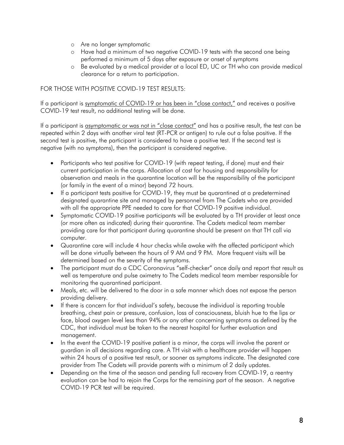- o Are no longer symptomatic
- o Have had a minimum of two negative COVID-19 tests with the second one being performed a minimum of 5 days after exposure or onset of symptoms
- o Be evaluated by a medical provider at a local ED, UC or TH who can provide medical clearance for a return to participation.

## FOR THOSE WITH POSITIVE COVID-19 TEST RESULTS:

If a participant is symptomatic of COVID-19 or has been in "close contact," and receives a positive COVID-19 test result, no additional testing will be done.

If a participant is asymptomatic or was not in "close contact" and has a positive result, the test can be repeated within 2 days with another viral test (RT-PCR or antigen) to rule out a false positive. If the second test is positive, the participant is considered to have a positive test. If the second test is negative (with no symptoms), then the participant is considered negative.

- Participants who test positive for COVID-19 (with repeat testing, if done) must end their current participation in the corps. Allocation of cost for housing and responsibility for observation and meals in the quarantine location will be the responsibility of the participant (or family in the event of a minor) beyond 72 hours.
- If a participant tests positive for COVID-19, they must be quarantined at a predetermined designated quarantine site and managed by personnel from The Cadets who are provided with all the appropriate PPE needed to care for that COVID-19 positive individual.
- Symptomatic COVID-19 positive participants will be evaluated by a TH provider at least once (or more often as indicated) during their quarantine. The Cadets medical team member providing care for that participant during quarantine should be present on that TH call via computer.
- Quarantine care will include 4 hour checks while awake with the affected participant which will be done virtually between the hours of 9 AM and 9 PM. More frequent visits will be determined based on the severity of the symptoms.
- The participant must do a CDC Coronavirus "self-checker" once daily and report that result as well as temperature and pulse oximetry to The Cadets medical team member responsible for monitoring the quarantined participant.
- Meals, etc. will be delivered to the door in a safe manner which does not expose the person providing delivery.
- If there is concern for that individual's safety, because the individual is reporting trouble breathing, chest pain or pressure, confusion, loss of consciousness, bluish hue to the lips or face, blood oxygen level less than 94% or any other concerning symptoms as defined by the CDC, that individual must be taken to the nearest hospital for further evaluation and management.
- In the event the COVID-19 positive patient is a minor, the corps will involve the parent or guardian in all decisions regarding care. A TH visit with a healthcare provider will happen within 24 hours of a positive test result, or sooner as symptoms indicate. The designated care provider from The Cadets will provide parents with a minimum of 2 daily updates.
- Depending on the time of the season and pending full recovery from COVID-19, a reentry evaluation can be had to rejoin the Corps for the remaining part of the season. A negative COVID-19 PCR test will be required.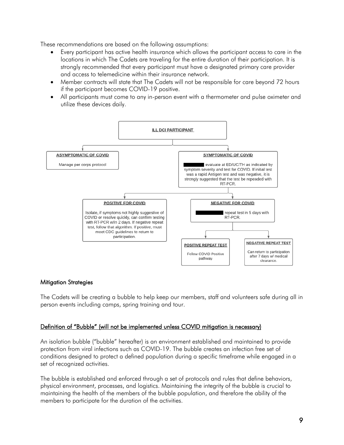These recommendations are based on the following assumptions:

- Every participant has active health insurance which allows the participant access to care in the locations in which The Cadets are traveling for the entire duration of their participation. It is strongly recommended that every participant must have a designated primary care provider and access to telemedicine within their insurance network.
- Member contracts will state that The Cadets will not be responsible for care beyond 72 hours if the participant becomes COVID-19 positive.
- All participants must come to any in-person event with a thermometer and pulse oximeter and utilize these devices daily.



## Mitigation Strategies

The Cadets will be creating a bubble to help keep our members, staff and volunteers safe during all in person events including camps, spring training and tour.

## Definition of "Bubble" (will not be implemented unless COVID mitigation is necessary)

An isolation bubble ("bubble" hereafter) is an environment established and maintained to provide protection from viral infections such as COVID-19. The bubble creates an infection free set of conditions designed to protect a defined population during a specific timeframe while engaged in a set of recognized activities.

The bubble is established and enforced through a set of protocols and rules that define behaviors, physical environment, processes, and logistics. Maintaining the integrity of the bubble is crucial to maintaining the health of the members of the bubble population, and therefore the ability of the members to participate for the duration of the activities.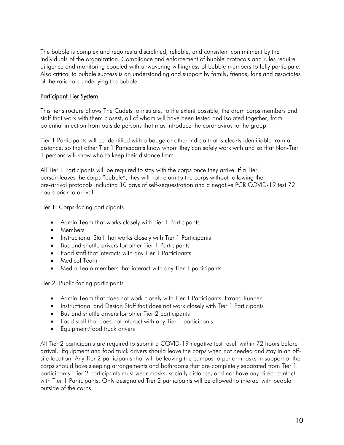The bubble is complex and requires a disciplined, reliable, and consistent commitment by the individuals of the organization. Compliance and enforcement of bubble protocols and rules require diligence and monitoring coupled with unwavering willingness of bubble members to fully participate. Also critical to bubble success is an understanding and support by family, friends, fans and associates of the rationale underlying the bubble.

## Participant Tier System:

This tier structure allows The Cadets to insulate, to the extent possible, the drum corps members and staff that work with them closest, all of whom will have been tested and isolated together, from potential infection from outside persons that may introduce the coronavirus to the group.

Tier 1 Participants will be identified with a badge or other indicia that is clearly identifiable from a distance, so that other Tier 1 Participants know whom they can safely work with and so that Non-Tier 1 persons will know who to keep their distance from.

All Tier 1 Participants will be required to stay with the corps once they arrive. If a Tier 1 person leaves the corps "bubble", they will not return to the corps without following the pre-arrival protocols including 10 days of self-sequestration and a negative PCR COVID-19 test 72 hours prior to arrival.

## Tier 1: Corps-facing participants

- Admin Team that works closely with Tier 1 Participants
- Members
- Instructional Staff that works closely with Tier 1 Participants
- Bus and shuttle drivers for other Tier 1 Participants
- Food staff that interacts with any Tier 1 Participants
- Medical Team
- Media Team members that interact with any Tier 1 participants

## Tier 2: Public-facing participants

- Admin Team that does not work closely with Tier 1 Participants, Errand Runner
- Instructional and Design Staff that does not work closely with Tier 1 Participants
- Bus and shuttle drivers for other Tier 2 participants
- Food staff that does not interact with any Tier 1 participants
- Equipment/food truck drivers

All Tier 2 participants are required to submit a COVID-19 negative test result within 72 hours before arrival. Equipment and food truck drivers should leave the corps when not needed and stay in an offsite location. Any Tier 2 participants that will be leaving the campus to perform tasks in support of the corps should have sleeping arrangements and bathrooms that are completely separated from Tier 1 participants. Tier 2 participants must wear masks, socially distance, and not have any direct contact with Tier 1 Participants. Only designated Tier 2 participants will be allowed to interact with people outside of the corps